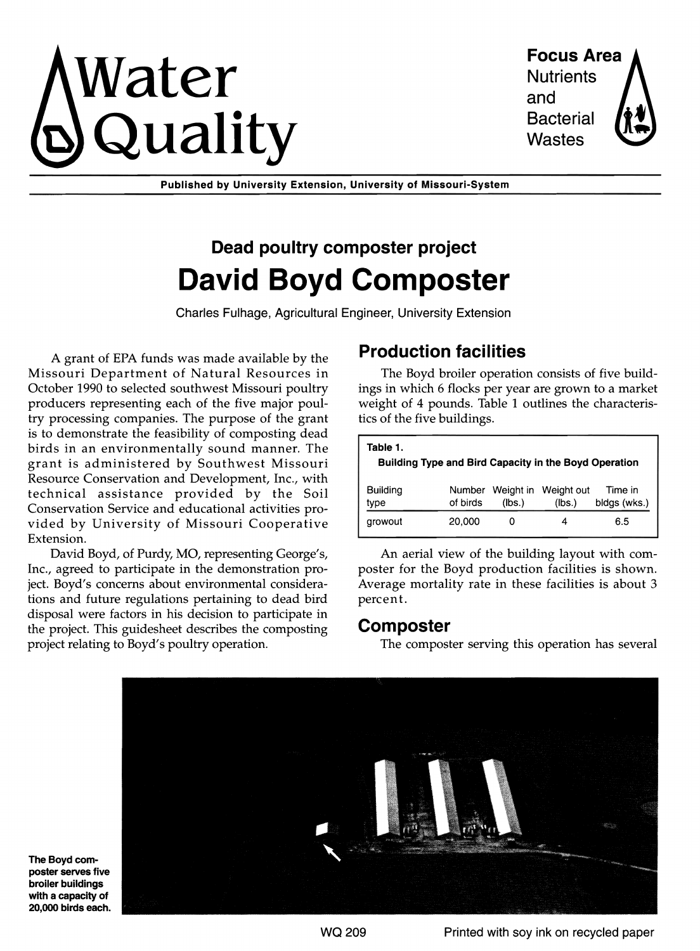# $\mathbf{V}\text{ater}$  Focus Area  $\mathbf{Q}$ uality Bacteria

and Bacterial

Published by University Extension, University of Missouri-System

## Dead poultry composter project David Boyd Composter

Charles FUlhage, Agricultural Engineer, University Extension

A grant of EPA funds was made available by the Missouri Department of Natural Resources in October 1990 to selected southwest Missouri poultry producers representing each of the five major poultry processing companies. The purpose of the grant is to demonstrate the feasibility of composting dead birds in an environmentally sound manner. The grant is administered by Southwest Missouri Resource Conservation and Development, Inc., with technical assistance provided by the Soil Conservation Service and educational activities provided by University of Missouri Cooperative Extension.

David Boyd, of Purdy, MO, representing George's, Inc., agreed to participate in the demonstration project. Boyd's concerns about environmental considerations and future regulations pertaining to dead bird disposal were factors in his decision to participate in the project. This guidesheet describes the composting project relating to Boyd's poultry operation.

#### Production facilities

The Boyd broiler operation consists of five buildings in which 6 flocks per year are grown to a market weight of 4 pounds. Table 1 outlines the characteristics of the five buildings.

| Table 1.<br>Building Type and Bird Capacity in the Boyd Operation |          |        |                                       |                         |  |
|-------------------------------------------------------------------|----------|--------|---------------------------------------|-------------------------|--|
| Buildina<br>type                                                  | of birds | (lbs.) | Number Weight in Weight out<br>(Ibs.) | Time in<br>bidgs (wks.) |  |
| arowout                                                           | 20,000   |        |                                       | 6.5                     |  |

An aerial view of the building layout with composter for the Boyd production facilities is shown. Average mortality rate in these facilities is about 3 percent.

#### Composter

The composter serving this operation has several



The Boyd poster serves broiler buildings with a capacity of 20,000 birds each.

WQ 209 **Printed with soy ink on recycled paper**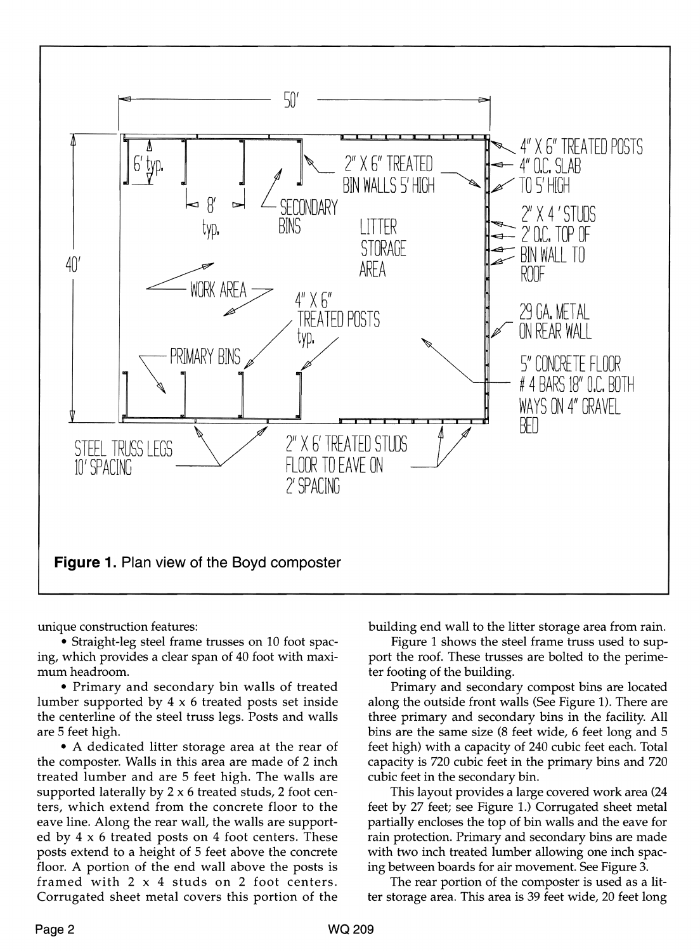

unique construction features:

• Straight-leg steel frame trusses on 10 foot spacing, which provides a clear span of 40 foot with maximum headroom.

• Primary and secondary bin walls of treated lumber supported by 4 x 6 treated posts set inside the centerline of the steel truss legs. Posts and walls are 5 feet high.

• A dedicated litter storage area at the rear of the composter. Walls in this area are made of 2 inch treated lumber and are 5 feet high. The walls are supported laterally by  $2 \times 6$  treated studs, 2 foot centers, which extend from the concrete floor to the eave line. Along the rear wall, the walls are supported by  $4 \times 6$  treated posts on  $4$  foot centers. These posts extend to a height of 5 feet above the concrete floor. A portion of the end wall above the posts is framed with 2 x 4 studs on 2 foot centers. Corrugated sheet metal covers this portion of the

building end wall to the litter storage area from rain.

Figure 1 shows the steel frame truss used to support the roof. These trusses are bolted to the perimeter footing of the building.

Primary and secondary compost bins are located along the outside front walls (See Figure 1). There are three primary and secondary bins in the facility. All bins are the same size (8 feet wide, 6 feet long and 5 feet high) with a capacity of 240 cubic feet each. Total capacity is 720 cubic feet in the primary bins and 720 cubic feet in the secondary bin.

This layout provides a large covered work area (24 feet by 27 feet; see Figure 1.) Corrugated sheet metal partially encloses the top of bin walls and the eave for rain protection. Primary and secondary bins are made with two inch treated lumber allowing one inch spacing between boards for air movement. See Figure 3.

The rear portion of the composter is used as a litter storage area. This area is 39 feet wide, 20 feet long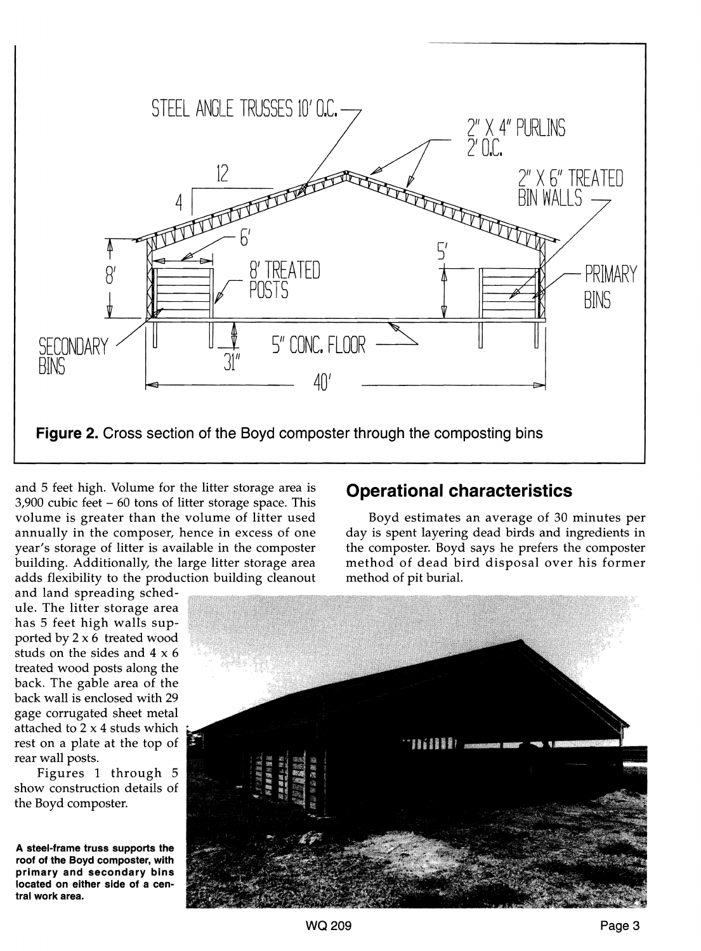

and 5 feet high. Volume for the litter storage area is  $3,900$  cubic feet  $-60$  tons of litter storage space. This volume is greater than the volume of litter used annually in the composer, hence in excess of one year's storage of litter is available in the composter building. Additionally, the large litter storage area adds flexibility to the production building cleanout

#### **Operational characteristics**

Boyd estimates an average of 30 minutes per day is spent layering dead birds and ingredients in the composter. Boyd says he prefers the composter method of dead bird disposal over his former method of pit burial.

and land spreading schedule. The litter storage area has 5 feet high walls supported by  $2 \times 6$  treated wood studs on the sides and 4 x 6 treated wood posts along the back. The gable area of the back wall is enclosed with 29 gage corrugated sheet metal attached to 2 x 4 studs which rest on a plate at the top of rear wall posts.

Figures 1 through 5 show construction details of the Boyd composter.

**A steel-frame truss supports the roof of the Boyd composter, with primary and secondary bins located on either side of a central work area.** 

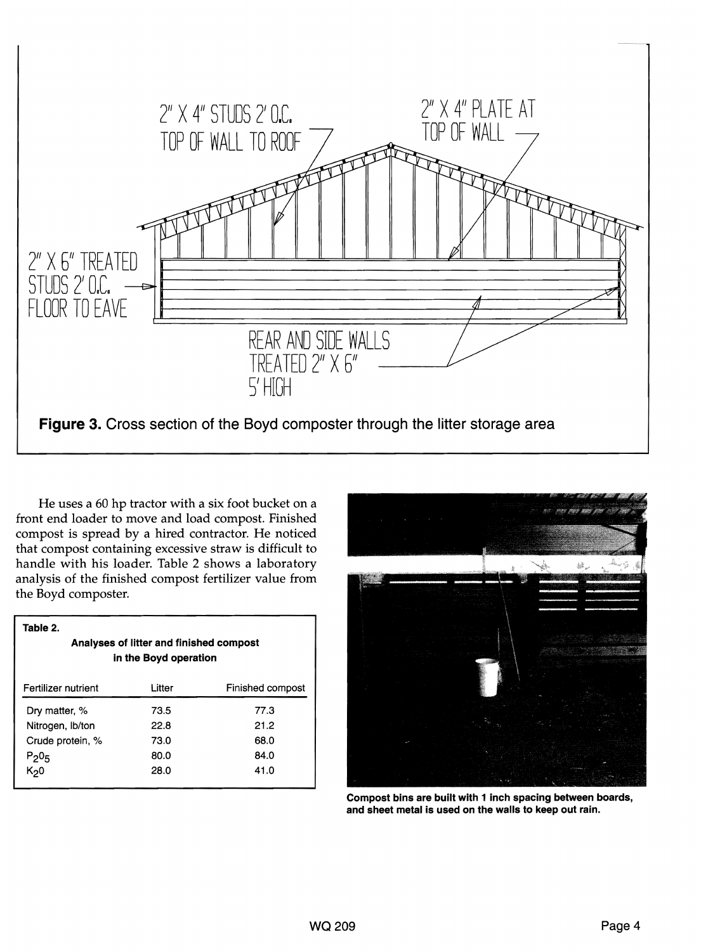

He uses a 60 hp tractor with a six foot bucket on a front end loader to move and load compost. Finished compost is spread by a hired contractor. He noticed that compost containing excessive straw is difficult to handle with his loader. Table 2 shows a laboratory analysis of the finished compost fertilizer value from the Boyd composter.

| Table 2.<br>Analyses of litter and finished compost<br>in the Boyd operation |        |                  |  |  |
|------------------------------------------------------------------------------|--------|------------------|--|--|
| Fertilizer nutrient                                                          | Litter | Finished compost |  |  |
| Dry matter, %                                                                | 73.5   | 77.3             |  |  |
| Nitrogen, Ib/ton                                                             | 22.8   | 21.2             |  |  |
| Crude protein, %                                                             | 73.0   | 68.0             |  |  |
| $P_20_5$                                                                     | 80.0   | 84.0             |  |  |
| K <sub>2</sub> 0                                                             | 28.0   | 41.0             |  |  |



Compost bins are built with 1 inch spacing between boards, and sheet metal is used on the walls to keep out rain.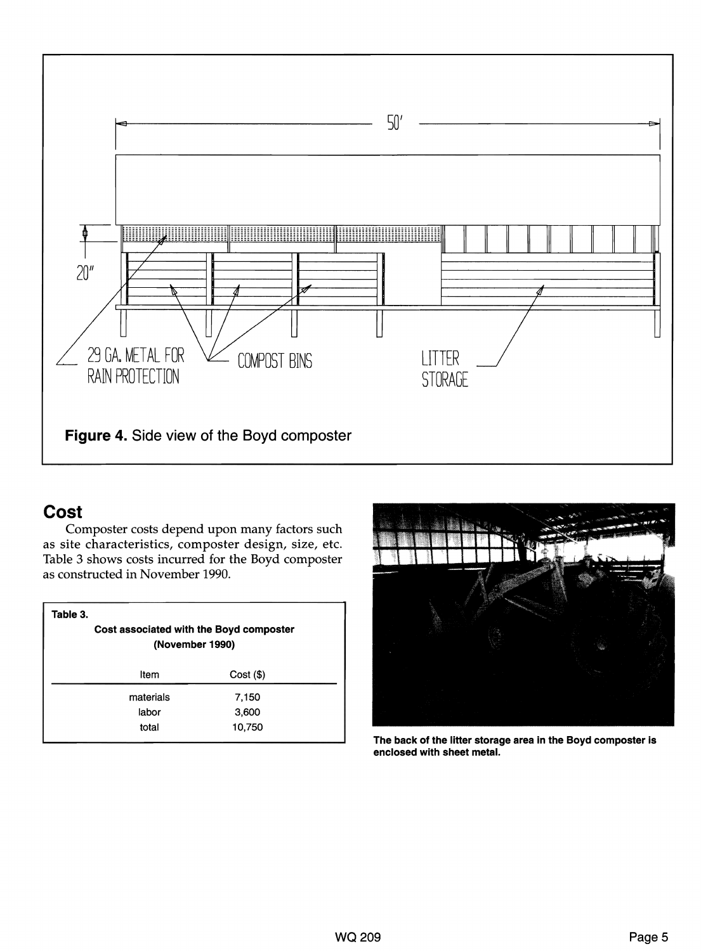

### **Cost**

Composter costs depend upon many factors such as site characteristics, composter design, size, etc. Table 3 shows costs incurred for the Boyd composter as constructed in November 1990.

| Table 3.<br>Cost associated with the Boyd composter<br>(November 1990) |             |  |  |  |
|------------------------------------------------------------------------|-------------|--|--|--|
| Item                                                                   | $Cost($ \$) |  |  |  |
| materials                                                              | 7,150       |  |  |  |
| labor                                                                  | 3,600       |  |  |  |
| total                                                                  | 10,750      |  |  |  |



**The back of the litter storage area in the Boyd** composter **is enclosed with sheet metal.**